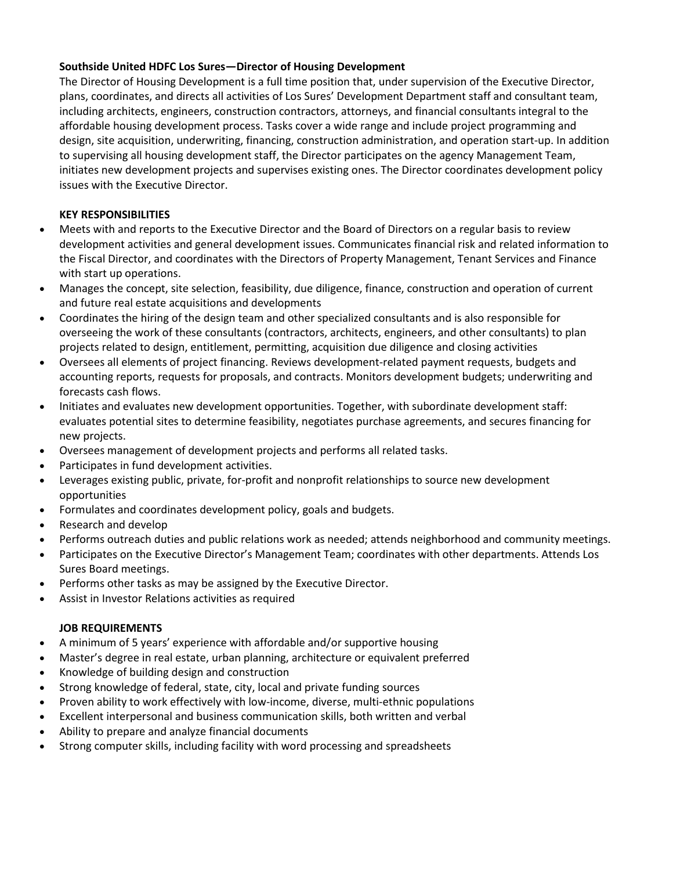## **Southside United HDFC Los Sures—Director of Housing Development**

The Director of Housing Development is a full time position that, under supervision of the Executive Director, plans, coordinates, and directs all activities of Los Sures' Development Department staff and consultant team, including architects, engineers, construction contractors, attorneys, and financial consultants integral to the affordable housing development process. Tasks cover a wide range and include project programming and design, site acquisition, underwriting, financing, construction administration, and operation start-up. In addition to supervising all housing development staff, the Director participates on the agency Management Team, initiates new development projects and supervises existing ones. The Director coordinates development policy issues with the Executive Director.

## **KEY RESPONSIBILITIES**

- Meets with and reports to the Executive Director and the Board of Directors on a regular basis to review development activities and general development issues. Communicates financial risk and related information to the Fiscal Director, and coordinates with the Directors of Property Management, Tenant Services and Finance with start up operations.
- Manages the concept, site selection, feasibility, due diligence, finance, construction and operation of current and future real estate acquisitions and developments
- Coordinates the hiring of the design team and other specialized consultants and is also responsible for overseeing the work of these consultants (contractors, architects, engineers, and other consultants) to plan projects related to design, entitlement, permitting, acquisition due diligence and closing activities
- Oversees all elements of project financing. Reviews development-related payment requests, budgets and accounting reports, requests for proposals, and contracts. Monitors development budgets; underwriting and forecasts cash flows.
- Initiates and evaluates new development opportunities. Together, with subordinate development staff: evaluates potential sites to determine feasibility, negotiates purchase agreements, and secures financing for new projects.
- Oversees management of development projects and performs all related tasks.
- Participates in fund development activities.
- Leverages existing public, private, for-profit and nonprofit relationships to source new development opportunities
- Formulates and coordinates development policy, goals and budgets.
- Research and develop
- Performs outreach duties and public relations work as needed; attends neighborhood and community meetings.
- Participates on the Executive Director's Management Team; coordinates with other departments. Attends Los Sures Board meetings.
- Performs other tasks as may be assigned by the Executive Director.
- Assist in Investor Relations activities as required

## **JOB REQUIREMENTS**

- A minimum of 5 years' experience with affordable and/or supportive housing
- Master's degree in real estate, urban planning, architecture or equivalent preferred
- Knowledge of building design and construction
- Strong knowledge of federal, state, city, local and private funding sources
- Proven ability to work effectively with low-income, diverse, multi-ethnic populations
- Excellent interpersonal and business communication skills, both written and verbal
- Ability to prepare and analyze financial documents
- Strong computer skills, including facility with word processing and spreadsheets